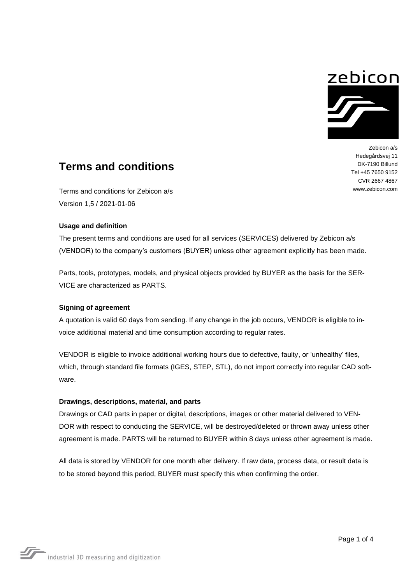

Zebicon a/s Hedegårdsvej 11 DK-7190 Billund Tel +45 7650 9152 CVR 2667 4867 www.zebicon.com

# **Terms and conditions**

Terms and conditions for Zebicon a/s Version 1,5 / 2021-01-06

## **Usage and definition**

The present terms and conditions are used for all services (SERVICES) delivered by Zebicon a/s (VENDOR) to the company's customers (BUYER) unless other agreement explicitly has been made.

Parts, tools, prototypes, models, and physical objects provided by BUYER as the basis for the SER-VICE are characterized as PARTS.

# **Signing of agreement**

A quotation is valid 60 days from sending. If any change in the job occurs, VENDOR is eligible to invoice additional material and time consumption according to regular rates.

VENDOR is eligible to invoice additional working hours due to defective, faulty, or 'unhealthy' files, which, through standard file formats (IGES, STEP, STL), do not import correctly into regular CAD software.

# **Drawings, descriptions, material, and parts**

Drawings or CAD parts in paper or digital, descriptions, images or other material delivered to VEN-DOR with respect to conducting the SERVICE, will be destroyed/deleted or thrown away unless other agreement is made. PARTS will be returned to BUYER within 8 days unless other agreement is made.

All data is stored by VENDOR for one month after delivery. If raw data, process data, or result data is to be stored beyond this period, BUYER must specify this when confirming the order.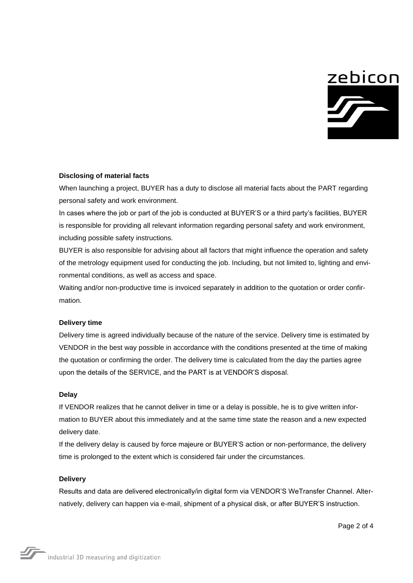

## **Disclosing of material facts**

When launching a project, BUYER has a duty to disclose all material facts about the PART regarding personal safety and work environment.

In cases where the job or part of the job is conducted at BUYER'S or a third party's facilities, BUYER is responsible for providing all relevant information regarding personal safety and work environment, including possible safety instructions.

BUYER is also responsible for advising about all factors that might influence the operation and safety of the metrology equipment used for conducting the job. Including, but not limited to, lighting and environmental conditions, as well as access and space.

Waiting and/or non-productive time is invoiced separately in addition to the quotation or order confirmation.

## **Delivery time**

Delivery time is agreed individually because of the nature of the service. Delivery time is estimated by VENDOR in the best way possible in accordance with the conditions presented at the time of making the quotation or confirming the order. The delivery time is calculated from the day the parties agree upon the details of the SERVICE, and the PART is at VENDOR'S disposal.

## **Delay**

If VENDOR realizes that he cannot deliver in time or a delay is possible, he is to give written information to BUYER about this immediately and at the same time state the reason and a new expected delivery date.

If the delivery delay is caused by force majeure or BUYER'S action or non-performance, the delivery time is prolonged to the extent which is considered fair under the circumstances.

## **Delivery**

Results and data are delivered electronically/in digital form via VENDOR'S WeTransfer Channel. Alternatively, delivery can happen via e-mail, shipment of a physical disk, or after BUYER'S instruction.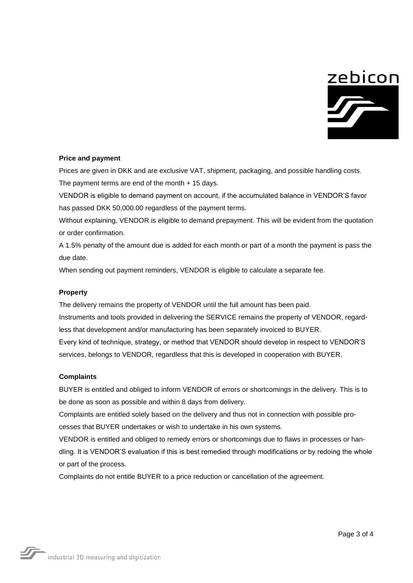

#### **Price and payment**

Prices are given in DKK and are exclusive VAT, shipment, packaging, and possible handling costs. The payment terms are end of the month  $+$  15 days.

VENDOR is eligible to demand payment on account, if the accumulated balance in VENDOR'S favor has passed DKK 50,000.00 regardless of the payment terms.

Without explaining, VENDOR is eligible to demand prepayment. This will be evident from the quotation or order confirmation.

A 1.5% penalty of the amount due is added for each month or part of a month the payment is pass the due date.

When sending out payment reminders, VENDOR is eligible to calculate a separate fee.

## **Property**

The delivery remains the property of VENDOR until the full amount has been paid. Instruments and tools provided in delivering the SERVICE remains the property of VENDOR, regardless that development and/or manufacturing has been separately invoiced to BUYER. Every kind of technique, strategy, or method that VENDOR should develop in respect to VENDOR'S services, belongs to VENDOR, regardless that this is developed in cooperation with BUYER.

#### **Complaints**

BUYER is entitled and obliged to inform VENDOR of errors or shortcomings in the delivery. This is to be done as soon as possible and within 8 days from delivery.

Complaints are entitled solely based on the delivery and thus not in connection with possible processes that BUYER undertakes or wish to undertake in his own systems.

VENDOR is entitled and obliged to remedy errors or shortcomings due to flaws in processes or handling. It is VENDOR'S evaluation if this is best remedied through modifications or by redoing the whole or part of the process.

Complaints do not entitle BUYER to a price reduction or cancellation of the agreement.